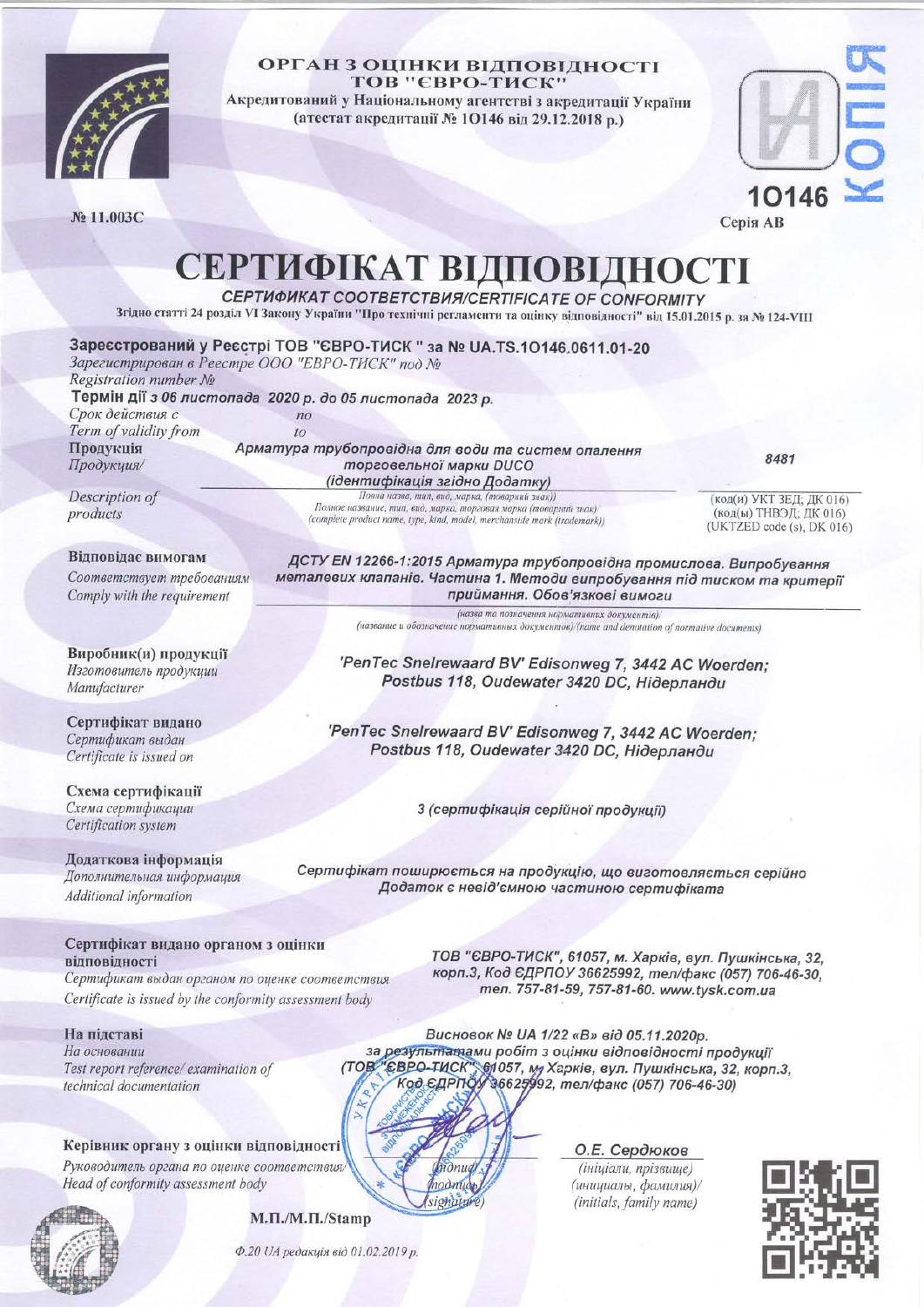

#### ОРГАН З ОЦІНКИ ВІДПОВІДНОСТІ **ТОВ "ЄВРО-ТИСК"**

Акредитований у Національному агентстві з акредитації України (атестат акредитації № 10146 від 29.12.2018 р.)

№ 11.003С



Серія АВ

# СЕРТИФІКАТ ВІДПОВІДНОСТІ

**СЕРТИФИКАТ СООТВЕТСТВИЯ/СЕRTIFICATE OF CONFORMITY** 

Згідно статті 24 розділ VI Закону України "Про технічні регламенти та оцінку відповідності" від 15.01.2015 р. за № 124-VIII

| Зарегистрирован в Реестре ООО "ЕВРО-ТИСК" под №           |                                                                                                              | Зареєстрований у Реєстрі ТОВ "ЄВРО-ТИСК " за № UA.TS.10146.0611.01-20                                              |                                                     |
|-----------------------------------------------------------|--------------------------------------------------------------------------------------------------------------|--------------------------------------------------------------------------------------------------------------------|-----------------------------------------------------|
| Registration number No                                    |                                                                                                              |                                                                                                                    |                                                     |
|                                                           |                                                                                                              |                                                                                                                    |                                                     |
| Термін дії з 06 листопада 2020 р. до 05 листопада 2023 р. |                                                                                                              |                                                                                                                    |                                                     |
| Срок действия с                                           | n <sub>O</sub>                                                                                               |                                                                                                                    |                                                     |
| Term of validity from                                     | to                                                                                                           |                                                                                                                    |                                                     |
| Продукція                                                 | Арматура трубопровідна для води та систем опалення<br>8481                                                   |                                                                                                                    |                                                     |
| Продукция/<br>торговельної марки DUCO                     |                                                                                                              |                                                                                                                    |                                                     |
|                                                           |                                                                                                              | (ідентифікація згідно Додатку)                                                                                     |                                                     |
| Description of                                            |                                                                                                              | Повна назва, тип, вид, марка, (товарний знак))<br>Полное название, тип, вид, марка, торговая марка (товарний знак) | (код(и) УКТ ЗЕД; ДК 016)                            |
| products                                                  |                                                                                                              | (complete product name, type, kind, model, merchanside mark (trademark))                                           | (код(ы) ТНВЭД; ДК 016)<br>(UKTZED code (s), DK 016) |
|                                                           |                                                                                                              |                                                                                                                    |                                                     |
| Відповідає вимогам                                        |                                                                                                              | ДСТУ EN 12266-1:2015 Арматура трубопровідна промислова. Випробування                                               |                                                     |
| Соответствует требованиям                                 | металевих клапанів. Частина 1. Методи випробування під тиском та критерії<br>приймання. Обов'язкові вимоги   |                                                                                                                    |                                                     |
| Comply with the requirement                               |                                                                                                              |                                                                                                                    |                                                     |
|                                                           |                                                                                                              | (назва та позначення нормативних документів)/                                                                      |                                                     |
|                                                           |                                                                                                              | (название и обозначение нормативных документов)/(name and denotation of normative documents)                       |                                                     |
|                                                           |                                                                                                              |                                                                                                                    |                                                     |
| Виробник(и) продукції                                     | 'PenTec Snelrewaard BV' Edisonweg 7, 3442 AC Woerden;<br>Postbus 118, Oudewater 3420 DC, Нідерланди          |                                                                                                                    |                                                     |
| Изготовитель продукции                                    |                                                                                                              |                                                                                                                    |                                                     |
| Manufacturer                                              |                                                                                                              |                                                                                                                    |                                                     |
|                                                           |                                                                                                              |                                                                                                                    |                                                     |
| Сертифікат видано                                         | 'PenTec Snelrewaard BV' Edisonweg 7, 3442 AC Woerden;<br>Postbus 118, Oudewater 3420 DC, Нідерланди          |                                                                                                                    |                                                     |
| Сертификат выдан                                          |                                                                                                              |                                                                                                                    |                                                     |
| Certificate is issued on                                  |                                                                                                              |                                                                                                                    |                                                     |
| Схема сертифікації                                        |                                                                                                              |                                                                                                                    |                                                     |
| Схема сертификации                                        |                                                                                                              |                                                                                                                    |                                                     |
| Certification system                                      | 3 (сертифікація серійної продукції)                                                                          |                                                                                                                    |                                                     |
|                                                           |                                                                                                              |                                                                                                                    |                                                     |
| Додаткова інформація                                      |                                                                                                              |                                                                                                                    |                                                     |
| Дополнительная информация                                 | Сертифікат поширюється на продукцію, що виготовляється серійно<br>Додаток є невід'ємною частиною сертифіката |                                                                                                                    |                                                     |
| Additional information                                    |                                                                                                              |                                                                                                                    |                                                     |
|                                                           |                                                                                                              |                                                                                                                    |                                                     |
|                                                           |                                                                                                              |                                                                                                                    |                                                     |
| Сертифікат видано органом з оцінки                        |                                                                                                              |                                                                                                                    |                                                     |
| відповідності                                             |                                                                                                              | ТОВ "ЄВРО-ТИСК", 61057, м. Харків, вул. Пушкінська, 32,                                                            |                                                     |
| Сертификат выдан органом по оценке соответствия           |                                                                                                              | корп.3, Код ЄДРПОУ 36625992, тел/факс (057) 706-46-30,                                                             |                                                     |
| Certificate is issued by the conformity assessment body   |                                                                                                              | тел. 757-81-59, 757-81-60. www.tysk.com.ua                                                                         |                                                     |
|                                                           |                                                                                                              |                                                                                                                    |                                                     |
| На підставі                                               |                                                                                                              | Висновок № UA 1/22 «В» від 05.11.2020р.                                                                            |                                                     |
| На основании                                              |                                                                                                              | за результатами робіт з оцінки відповідності продукції                                                             |                                                     |
| Test report reference/ examination of                     |                                                                                                              | (ТОВ "ЄВРО-ТИСК" 61057, му Харків, вул. Пушкінська, 32, корп.3,                                                    |                                                     |
| technical documentation                                   |                                                                                                              | Код ЄДРПОУ 36625992, тел/факс (057) 706-46-30)                                                                     |                                                     |
|                                                           |                                                                                                              |                                                                                                                    |                                                     |
|                                                           |                                                                                                              |                                                                                                                    |                                                     |
|                                                           |                                                                                                              |                                                                                                                    |                                                     |
| Керівник органу з оцінки відповідності                    |                                                                                                              | О.Е. Сердюков                                                                                                      |                                                     |
| Руководитель органа по оценке соответст                   |                                                                                                              | (ininianu nnizennue)                                                                                               |                                                     |

(nodmudb)

signature

Head of conformity assessment body

M.II./M.II./Stamp

Ф.20 UA редакція від 01.02.2019 р.

(инициалы, фамилия)/ (initials, family name)